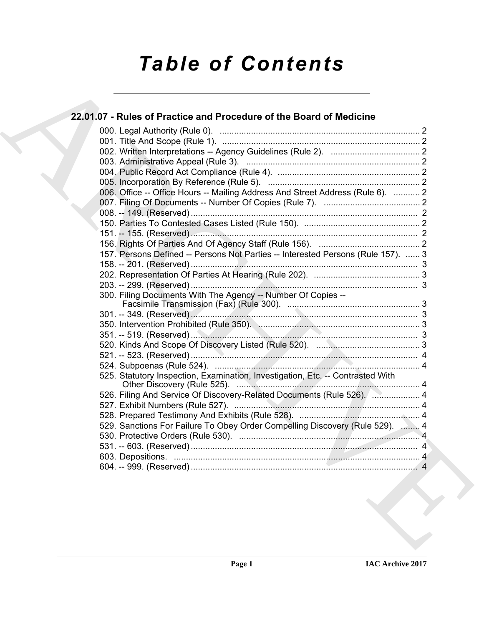# *Table of Contents*

# 22.01.07 - [R](#page-1-3)ules of Practice and Procedure of the Board of Medicine<br>  $22.01$ , Oli Ling [A](#page-1-0)ntheny (Rule 1),<br>
000.1 The And Scope (Rule 1),<br>
000.1 The And Scope (Rule 1),<br>
000.1 The And Scope (Rule 1),<br>
000.1 The And Scope (R **22.01.07 - Rules of Practice and Procedure of the Board of Medicine** 000. Legal Authority (Rule 0). ................................................................................... 2 001. Title And Scope (Rule 1). .................................................................................. 2 002. Written Interpretations -- Agency Guidelines (Rule 2). ..................................... 2 003. Administrative Appeal (Rule 3). ........................................................................ 2 004. Public Record Act Compliance (Rule 4). ........................................................... 2 005. Incorporation By Reference (Rule 5). ............................................................... 2 006. Office -- Office Hours -- Mailing Address And Street Address (Rule 6). ........... 2 007. Filing Of Documents -- Number Of Copies (Rule 7). ........................................ 2 008. -- 149. (Reserved) .............................................................................................. 2 150. Parties To Contested Cases Listed (Rule 150). ................................................ 2 151. -- 155. (Reserved) .............................................................................................. 2 156. Rights Of Parties And Of Agency Staff (Rule 156). .......................................... 2 157. Persons Defined -- Persons Not Parties -- Interested Persons (Rule 157). ...... 3 158. -- 201. (Reserved) .............................................................................................. 3 202. Representation Of Parties At Hearing (Rule 202). ............................................ 3 203. -- 299. (Reserved) .............................................................................................. 3 300. Filing Documents With The Agency -- Number Of Copies -- Facsimile Transmission (Fax) (Rule 300). ....................................................... 3 301. -- 349. (Reserved) .............................................................................................. 3 350. Intervention Prohibited (Rule 350). ................................................................... 3 351. -- 519. (Reserved) .............................................................................................. 3 520. Kinds And Scope Of Discovery Listed (Rule 520). ........................................... 3 521. -- 523. (Reserved) .............................................................................................. 4 524. Subpoenas (Rule 524). ..................................................................................... 4 525. Statutory Inspection, Examination, Investigation, Etc. -- Contrasted With Other Discovery (Rule 525). ............................................................................ 4 526. Filing And Service Of Discovery-Related Documents (Rule 526). ..................... 4 527. Exhibit Numbers (Rule 527). ............................................................................. 4 528. Prepared Testimony And Exhibits (Rule 528). .................................................. 4 529. Sanctions For Failure To Obey Order Compelling Discovery (Rule 529). ........ 4 530. Protective Orders (Rule 530). ........................................................................... 4 531. -- 603. (Reserved) .............................................................................................. 4 603. Depositions. ...................................................................................................... 4 604. -- 999. (Reserved) .............................................................................................. 4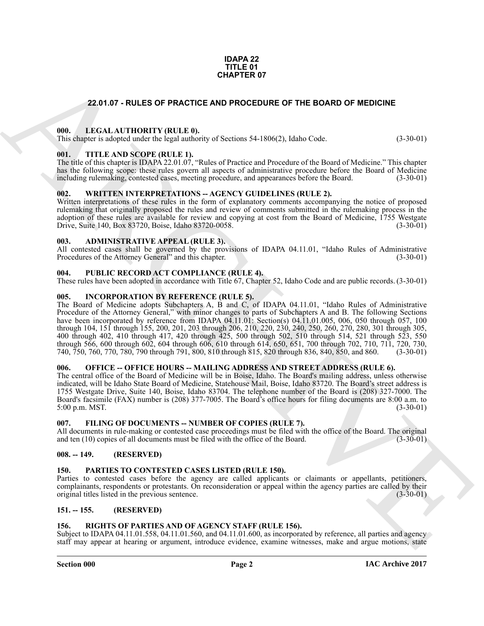#### **IDAPA 22 TITLE 01 CHAPTER 07**

#### **22.01.07 - RULES OF PRACTICE AND PROCEDURE OF THE BOARD OF MEDICINE**

#### <span id="page-1-1"></span><span id="page-1-0"></span>**000. LEGAL AUTHORITY (RULE 0).**

This chapter is adopted under the legal authority of Sections 54-1806(2), Idaho Code. (3-30-01)

#### <span id="page-1-2"></span>**001. TITLE AND SCOPE (RULE 1).**

The title of this chapter is IDAPA 22.01.07, "Rules of Practice and Procedure of the Board of Medicine." This chapter has the following scope: these rules govern all aspects of administrative procedure before the Board of Medicine including rulemaking contested cases, meeting procedure, and appearances before the Board. (3-30-01) including rulemaking, contested cases, meeting procedure, and appearances before the Board.

#### <span id="page-1-3"></span>**002. WRITTEN INTERPRETATIONS -- AGENCY GUIDELINES (RULE 2).**

Written interpretations of these rules in the form of explanatory comments accompanying the notice of proposed rulemaking that originally proposed the rules and review of comments submitted in the rulemaking process in the adoption of these rules are available for review and copying at cost from the Board of Medicine, 1755 Westgate Drive. Suite 140. Box 83720. Boise. Idaho 83720-0058. (3-30-01) Drive, Suite 140, Box 83720, Boise, Idaho 83720-0058.

#### <span id="page-1-4"></span>**003. ADMINISTRATIVE APPEAL (RULE 3).**

All contested cases shall be governed by the provisions of IDAPA 04.11.01, "Idaho Rules of Administrative Procedures of the Attorney General" and this chapter. (3-30-01) Procedures of the Attorney General" and this chapter.

#### <span id="page-1-5"></span>**004. PUBLIC RECORD ACT COMPLIANCE (RULE 4).**

These rules have been adopted in accordance with Title 67, Chapter 52, Idaho Code and are public records. (3-30-01)

#### <span id="page-1-6"></span>**005. INCORPORATION BY REFERENCE (RULE 5).**

**CHAPTER OF**<br> **CHAPTER OF PRACTIC AND PROCEDURE OF THE BOARD OF MEDICINE**<br> **CHAPTER TOTAL INTERNATIONAL TEAM (AND ARCHIVE ARCHIVE AND ARCHIVE ARCHIVE AND CHAPTER TOTAL TEAM (AND ARCHIVE ARCHIVE ARCHIVE ARCHIVE ARCHIVE ARC** The Board of Medicine adopts Subchapters A, B and C, of IDAPA 04.11.01, "Idaho Rules of Administrative Procedure of the Attorney General," with minor changes to parts of Subchapters A and B. The following Sections have been incorporated by reference from IDAPA 04.11.01: Section(s) 04.11.01.005, 006, 050 through 057, 100 through 104, 151 through 155, 200, 201, 203 through 206, 210, 220, 230, 240, 250, 260, 270, 280, 301 through 305, 400 through 402, 410 through 417, 420 through 425, 500 through 502, 510 through 514, 521 through 523, 550 through 566, 600 through 602, 604 through 606, 610 through 614, 650, 651, 700 through 702, 710, 711, 720, 730,<br>740, 750, 760, 770, 780, 790 through 791, 800, 810 through 815, 820 through 836, 840, 850, and 860. (3-30-01) 740, 750, 760, 770, 780, 790 through 791, 800, 810 through 815, 820 through 836, 840, 850, and 860.

#### <span id="page-1-7"></span>**006. OFFICE -- OFFICE HOURS -- MAILING ADDRESS AND STREET ADDRESS (RULE 6).**

The central office of the Board of Medicine will be in Boise, Idaho. The Board's mailing address, unless otherwise indicated, will be Idaho State Board of Medicine, Statehouse Mail, Boise, Idaho 83720. The Board's street address is 1755 Westgate Drive, Suite 140, Boise, Idaho 83704. The telephone number of the Board is (208) 327-7000. The Board's facsimile (FAX) number is (208) 377-7005. The Board's office hours for filing documents are 8:00 a.m. to 5:00 p.m. MST. 5:00 p.m. MST.

#### <span id="page-1-8"></span>**007. FILING OF DOCUMENTS -- NUMBER OF COPIES (RULE 7).**

All documents in rule-making or contested case proceedings must be filed with the office of the Board. The original and ten (10) copies of all documents must be filed with the office of the Board. (3-30-01) and ten  $(10)$  copies of all documents must be filed with the office of the Board.

#### <span id="page-1-9"></span>**008. -- 149. (RESERVED)**

#### <span id="page-1-13"></span><span id="page-1-10"></span>**150. PARTIES TO CONTESTED CASES LISTED (RULE 150).**

Parties to contested cases before the agency are called applicants or claimants or appellants, petitioners, complainants, respondents or protestants. On reconsideration or appeal within the agency parties are called by their<br>original titles listed in the previous sentence. original titles listed in the previous sentence.

#### <span id="page-1-11"></span>**151. -- 155. (RESERVED)**

#### <span id="page-1-14"></span><span id="page-1-12"></span>**156. RIGHTS OF PARTIES AND OF AGENCY STAFF (RULE 156).**

Subject to IDAPA 04.11.01.558, 04.11.01.560, and 04.11.01.600, as incorporated by reference, all parties and agency staff may appear at hearing or argument, introduce evidence, examine witnesses, make and argue motions, state

#### **Section 000 Page 2**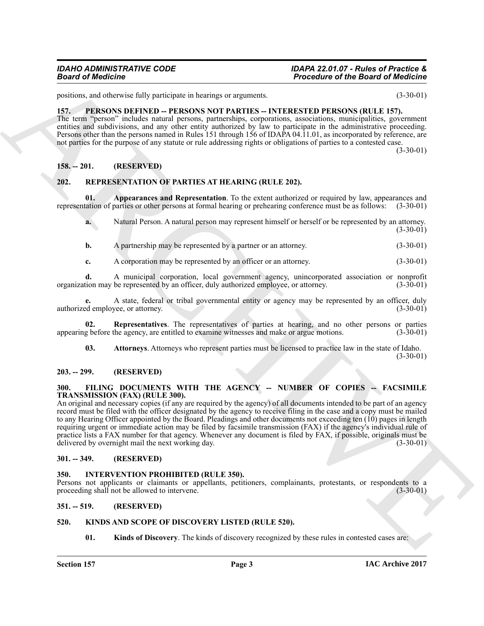positions, and otherwise fully participate in hearings or arguments. (3-30-01)

#### <span id="page-2-13"></span><span id="page-2-0"></span>**157. PERSONS DEFINED -- PERSONS NOT PARTIES -- INTERESTED PERSONS (RULE 157).**

The term "person" includes natural persons, partnerships, corporations, associations, municipalities, government entities and subdivisions, and any other entity authorized by law to participate in the administrative proceeding. Persons other than the persons named in Rules 151 through 156 of IDAPA 04.11.01, as incorporated by reference, are not parties for the purpose of any statute or rule addressing rights or obligations of parties to a contested case.

 $(3-30-01)$ 

#### <span id="page-2-1"></span>**158. -- 201. (RESERVED)**

#### <span id="page-2-14"></span><span id="page-2-2"></span>**202. REPRESENTATION OF PARTIES AT HEARING (RULE 202).**

**01. Appearances and Representation**. To the extent authorized or required by law, appearances and representation of parties or other persons at formal hearing or prehearing conference must be as follows: (3-30-01)

<span id="page-2-15"></span>**a.** Natural Person. A natural person may represent himself or herself or be represented by an attorney. (3-30-01)

**b.** A partnership may be represented by a partner or an attorney. (3-30-01)

**c.** A corporation may be represented by an officer or an attorney. (3-30-01)

**d.** A municipal corporation, local government agency, unincorporated association or nonprofit tion may be represented by an officer, duly authorized employee, or attorney. (3-30-01) organization may be represented by an officer, duly authorized employee, or attorney.

**e.** A state, federal or tribal governmental entity or agency may be represented by an officer, duly ed employee, or attorney. (3-30-01) authorized employee, or attorney.

**02.** Representatives. The representatives of parties at hearing, and no other persons or parties g before the agency, are entitled to examine witnesses and make or argue motions. (3-30-01) appearing before the agency, are entitled to examine witnesses and make or argue motions.

<span id="page-2-17"></span><span id="page-2-16"></span>**03. Attorneys**. Attorneys who represent parties must be licensed to practice law in the state of Idaho.  $(3-30-01)$ 

#### <span id="page-2-3"></span>**203. -- 299. (RESERVED)**

#### <span id="page-2-9"></span><span id="page-2-4"></span>**300. FILING DOCUMENTS WITH THE AGENCY -- NUMBER OF COPIES -- FACSIMILE TRANSMISSION (FAX) (RULE 300).**

**Example the effective scheme of the Example of American Control in Technology (AUTE 1998)**<br>
EXAMPLE IN the set of the set of the set of the set of the set of the set of the set of the set of the set of the set of the set An original and necessary copies (if any are required by the agency) of all documents intended to be part of an agency record must be filed with the officer designated by the agency to receive filing in the case and a copy must be mailed to any Hearing Officer appointed by the Board. Pleadings and other documents not exceeding ten (10) pages in length requiring urgent or immediate action may be filed by facsimile transmission (FAX) if the agency's individual rule of practice lists a FAX number for that agency. Whenever any document is filed by FAX, if possible, originals must be delivered by overnight mail the next working day. (3-30-01) delivered by overnight mail the next working day.

#### <span id="page-2-5"></span>**301. -- 349. (RESERVED)**

#### <span id="page-2-10"></span><span id="page-2-6"></span>**350. INTERVENTION PROHIBITED (RULE 350).**

Persons not applicants or claimants or appellants, petitioners, complainants, protestants, or respondents to a proceeding shall not be allowed to intervene. (3-30-01) proceeding shall not be allowed to intervene.

#### <span id="page-2-7"></span>**351. -- 519. (RESERVED)**

#### <span id="page-2-8"></span>**520. KINDS AND SCOPE OF DISCOVERY LISTED (RULE 520).**

<span id="page-2-12"></span><span id="page-2-11"></span>**01. Kinds of Discovery**. The kinds of discovery recognized by these rules in contested cases are: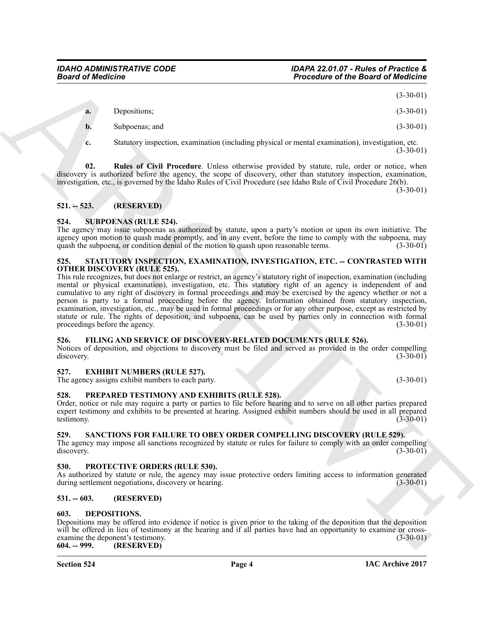(3-30-01)

| <b>a.</b> | Depositions;   | $(3-30-01)$ |
|-----------|----------------|-------------|
| b.        | Subpoenas; and | $(3-30-01)$ |

<span id="page-3-13"></span>**c.** Statutory inspection, examination (including physical or mental examination), investigation, etc.  $(3-30-01)$ 

**02. Rules of Civil Procedure**. Unless otherwise provided by statute, rule, order or notice, when discovery is authorized before the agency, the scope of discovery, other than statutory inspection, examination, investigation, etc., is governed by the Idaho Rules of Civil Procedure (see Idaho Rule of Civil Procedure 26(b).

 $(3-30-01)$ 

### <span id="page-3-0"></span>**521. -- 523. (RESERVED)**

#### <span id="page-3-17"></span><span id="page-3-1"></span>**524. SUBPOENAS (RULE 524).**

The agency may issue subpoenas as authorized by statute, upon a party's motion or upon its own initiative. The agency upon motion to quash made promptly, and in any event, before the time to comply with the subpoena, may quash the subpoena, or condition denial of the motion to quash upon reasonable terms. (3-30-01) quash the subpoena, or condition denial of the motion to quash upon reasonable terms.

#### <span id="page-3-16"></span><span id="page-3-2"></span>**525. STATUTORY INSPECTION, EXAMINATION, INVESTIGATION, ETC. -- CONTRASTED WITH OTHER DISCOVERY (RULE 525).**

**Example of the Example of the Example of the Example of the Example of the Example of the Example of the Example of CNA<br>
Representation and the CNA Properties of the Example of The CNA CHA CHA CHA CHA CHA CHA CHA CHA CHA** This rule recognizes, but does not enlarge or restrict, an agency's statutory right of inspection, examination (including mental or physical examination), investigation, etc. This statutory right of an agency is independent of and cumulative to any right of discovery in formal proceedings and may be exercised by the agency whether or not a person is party to a formal proceeding before the agency. Information obtained from statutory inspection, examination, investigation, etc., may be used in formal proceedings or for any other purpose, except as restricted by statute or rule. The rights of deposition, and subpoena, can be used by parties only in connection with formal proceedings before the agency. (3-30-01) (3-30-01)

#### <span id="page-3-12"></span><span id="page-3-3"></span>**526. FILING AND SERVICE OF DISCOVERY-RELATED DOCUMENTS (RULE 526).**

Notices of deposition, and objections to discovery must be filed and served as provided in the order compelling discovery. (3-30-01)

#### <span id="page-3-4"></span>**527. EXHIBIT NUMBERS (RULE 527).**

<span id="page-3-14"></span>The agency assigns exhibit numbers to each party. (3-30-01) (3-30-01)

#### <span id="page-3-5"></span>**528. PREPARED TESTIMONY AND EXHIBITS (RULE 528).**

Order, notice or rule may require a party or parties to file before hearing and to serve on all other parties prepared expert testimony and exhibits to be presented at hearing. Assigned exhibit numbers should be used in all prepared testimony. (3-30-01)

#### <span id="page-3-15"></span><span id="page-3-6"></span>**529. SANCTIONS FOR FAILURE TO OBEY ORDER COMPELLING DISCOVERY (RULE 529).**

The agency may impose all sanctions recognized by statute or rules for failure to comply with an order compelling discovery. (3-30-01) discovery. (3-30-01)

#### <span id="page-3-7"></span>**530. PROTECTIVE ORDERS (RULE 530).**

As authorized by statute or rule, the agency may issue protective orders limiting access to information generated during settlement negotiations, discovery or hearing. (3-30-01) during settlement negotiations, discovery or hearing.

#### <span id="page-3-8"></span>**531. -- 603. (RESERVED)**

#### <span id="page-3-11"></span><span id="page-3-9"></span>**603. DEPOSITIONS.**

Depositions may be offered into evidence if notice is given prior to the taking of the deposition that the deposition will be offered in lieu of testimony at the hearing and if all parties have had an opportunity to examine or cross-<br>examine the deponent's testimony. (3-30-01) examine the deponent's testimony.<br>604. -- 999. (RESERVED) **604. -- 999. (RESERVED)**

<span id="page-3-10"></span>**Section 524 Page 4**